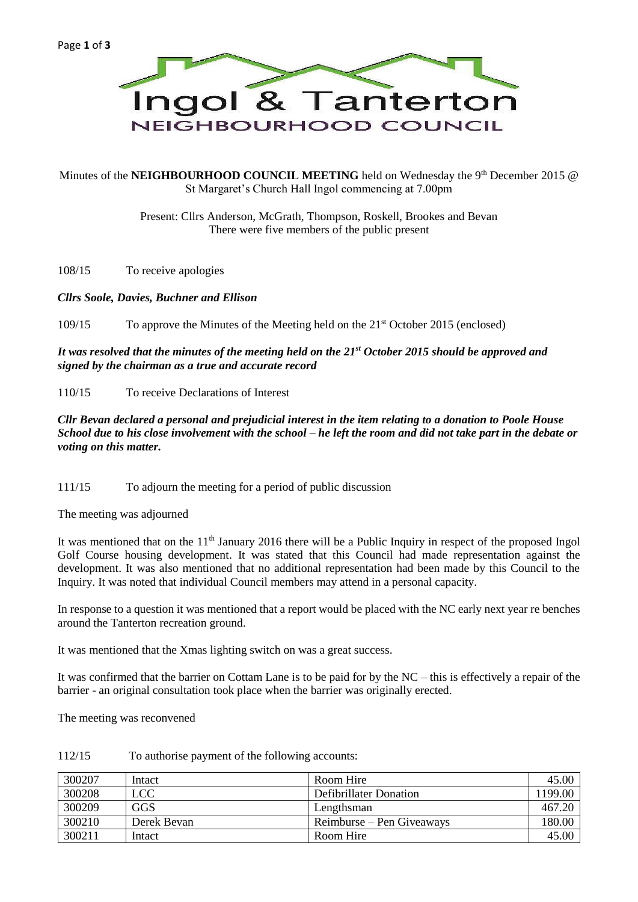

Minutes of the **NEIGHBOURHOOD COUNCIL MEETING** held on Wednesday the 9<sup>th</sup> December 2015 @ St Margaret's Church Hall Ingol commencing at 7.00pm

> Present: Cllrs Anderson, McGrath, Thompson, Roskell, Brookes and Bevan There were five members of the public present

108/15 To receive apologies

#### *Cllrs Soole, Davies, Buchner and Ellison*

109/15 To approve the Minutes of the Meeting held on the 21st October 2015 (enclosed)

*It was resolved that the minutes of the meeting held on the 21st October 2015 should be approved and signed by the chairman as a true and accurate record*

110/15 To receive Declarations of Interest

*Cllr Bevan declared a personal and prejudicial interest in the item relating to a donation to Poole House School due to his close involvement with the school – he left the room and did not take part in the debate or voting on this matter.*

111/15 To adjourn the meeting for a period of public discussion

The meeting was adjourned

It was mentioned that on the 11<sup>th</sup> January 2016 there will be a Public Inquiry in respect of the proposed Ingol Golf Course housing development. It was stated that this Council had made representation against the development. It was also mentioned that no additional representation had been made by this Council to the Inquiry. It was noted that individual Council members may attend in a personal capacity.

In response to a question it was mentioned that a report would be placed with the NC early next year re benches around the Tanterton recreation ground.

It was mentioned that the Xmas lighting switch on was a great success.

It was confirmed that the barrier on Cottam Lane is to be paid for by the NC – this is effectively a repair of the barrier - an original consultation took place when the barrier was originally erected.

The meeting was reconvened

| 300207 | Intact      | Room Hire                 | 45.00   |
|--------|-------------|---------------------------|---------|
| 300208 | LCC         | Defibrillater Donation    | 1199.00 |
| 300209 | GGS         | Lengthsman                | 467.20  |
| 300210 | Derek Bevan | Reimburse – Pen Giveaways | 180.00  |
| 300211 | Intact      | Room Hire                 | 45.00   |

### 112/15 To authorise payment of the following accounts: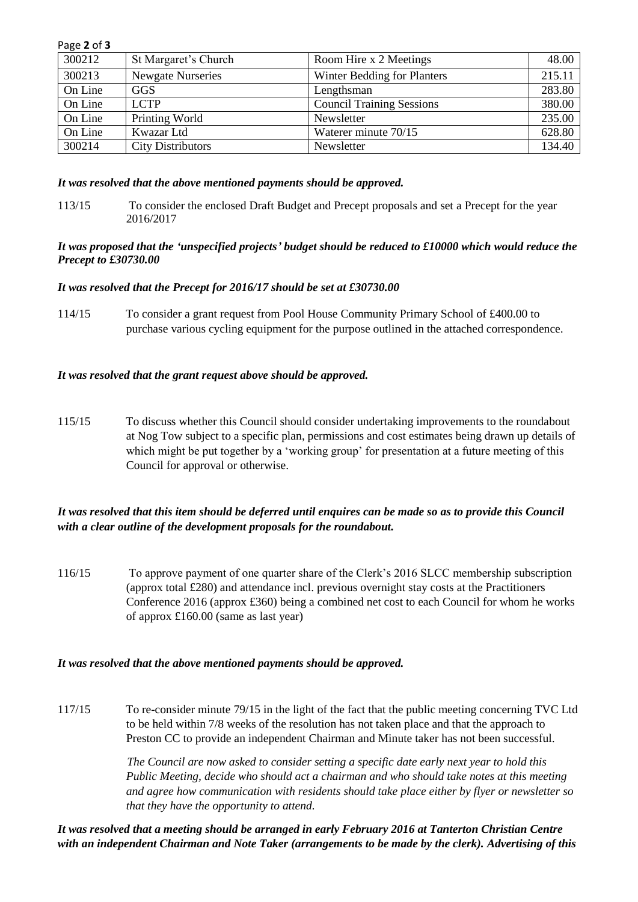| Page 2 of 3 |                          |                                  |        |  |
|-------------|--------------------------|----------------------------------|--------|--|
| 300212      | St Margaret's Church     | Room Hire x 2 Meetings           | 48.00  |  |
| 300213      | <b>Newgate Nurseries</b> | Winter Bedding for Planters      | 215.11 |  |
| On Line     | <b>GGS</b>               | Lengthsman                       | 283.80 |  |
| On Line     | LCTP                     | <b>Council Training Sessions</b> | 380.00 |  |
| On Line     | Printing World           | Newsletter                       | 235.00 |  |
| On Line     | Kwazar Ltd               | Waterer minute 70/15             | 628.80 |  |
| 300214      | <b>City Distributors</b> | Newsletter                       | 134.40 |  |

#### *It was resolved that the above mentioned payments should be approved.*

113/15 To consider the enclosed Draft Budget and Precept proposals and set a Precept for the year 2016/2017

#### *It was proposed that the 'unspecified projects' budget should be reduced to £10000 which would reduce the Precept to £30730.00*

### *It was resolved that the Precept for 2016/17 should be set at £30730.00*

114/15 To consider a grant request from Pool House Community Primary School of £400.00 to purchase various cycling equipment for the purpose outlined in the attached correspondence.

### *It was resolved that the grant request above should be approved.*

115/15 To discuss whether this Council should consider undertaking improvements to the roundabout at Nog Tow subject to a specific plan, permissions and cost estimates being drawn up details of which might be put together by a 'working group' for presentation at a future meeting of this Council for approval or otherwise.

# *It was resolved that this item should be deferred until enquires can be made so as to provide this Council with a clear outline of the development proposals for the roundabout.*

116/15 To approve payment of one quarter share of the Clerk's 2016 SLCC membership subscription (approx total £280) and attendance incl. previous overnight stay costs at the Practitioners Conference 2016 (approx £360) being a combined net cost to each Council for whom he works of approx £160.00 (same as last year)

#### *It was resolved that the above mentioned payments should be approved.*

117/15 To re-consider minute 79/15 in the light of the fact that the public meeting concerning TVC Ltd to be held within 7/8 weeks of the resolution has not taken place and that the approach to Preston CC to provide an independent Chairman and Minute taker has not been successful.

> *The Council are now asked to consider setting a specific date early next year to hold this Public Meeting, decide who should act a chairman and who should take notes at this meeting and agree how communication with residents should take place either by flyer or newsletter so that they have the opportunity to attend.*

*It was resolved that a meeting should be arranged in early February 2016 at Tanterton Christian Centre with an independent Chairman and Note Taker (arrangements to be made by the clerk). Advertising of this*